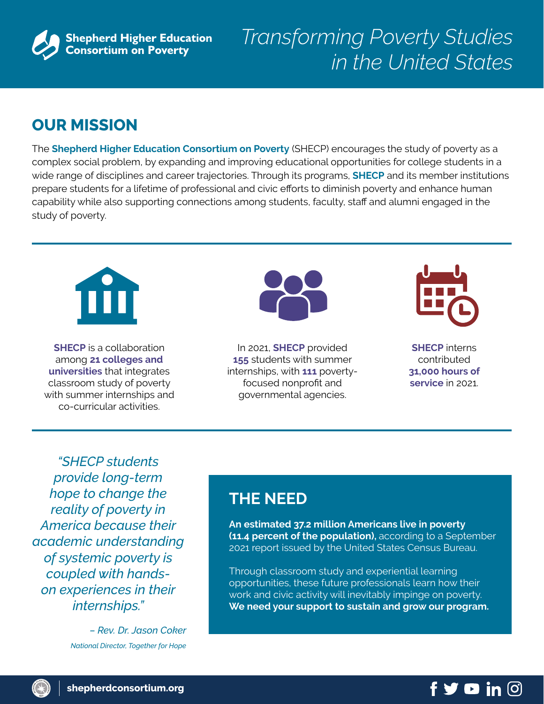

# *Transforming Poverty Studies in the United States*

### **OUR MISSION**

The **Shepherd Higher Education Consortium on Poverty** (SHECP) encourages the study of poverty as a complex social problem, by expanding and improving educational opportunities for college students in a wide range of disciplines and career trajectories. Through its programs, **SHECP** and its member institutions prepare students for a lifetime of professional and civic efforts to diminish poverty and enhance human capability while also supporting connections among students, faculty, staff and alumni engaged in the study of poverty.



**SHECP** is a collaboration among **21 colleges and universities** that integrates classroom study of poverty with summer internships and co-curricular activities.



In 2021, **SHECP** provided **155** students with summer internships, with **111** povertyfocused nonprofit and governmental agencies.



**SHECP** interns contributed **31,000 hours of service** in 2021.

*"SHECP students provide long-term hope to change the reality of poverty in America because their academic understanding of systemic poverty is coupled with handson experiences in their internships."* 

> *– Rev. Dr. Jason Coker National Director, Together for Hope*

### **THE NEED**

**An estimated 37.2 million Americans live in poverty (11.4 percent of the population),** according to a September 2021 report issued by the United States Census Bureau.

Through classroom study and experiential learning opportunities, these future professionals learn how their work and civic activity will inevitably impinge on poverty. **We need your support to sustain and grow our program.**